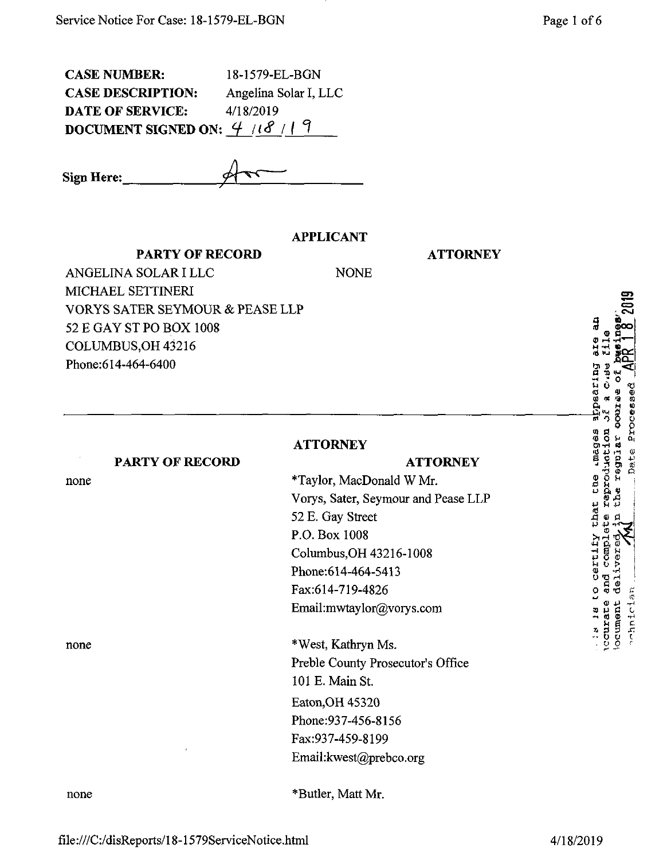| <b>CASE NUMBER:</b>           | 18-1579-EL-BGN        |
|-------------------------------|-----------------------|
| <b>CASE DESCRIPTION:</b>      | Angelina Solar I, LLC |
| <b>DATE OF SERVICE:</b>       | 4/18/2019             |
| DOCUMENT SIGNED ON: $4/18/19$ |                       |

Sign Here:

## **APPLICANT**

**NONE** 

**PARTY OF RECORD** 

**ATTORNEY** 

**ATTORNEY** 

ANGELINA SOLAR I LLC MICHAEL SETTINERI VORYS SATER SEYMOUR & PEASE LLP 52 E GAY ST PO BOX 1008 COLUMBUS, OH 43216 Phone:614-464-6400

## **ATTORNEY**

### **PARTY OF RECORD**

none

none

none

\*Taylor, MacDonald W Mr. Vorys, Sater, Seymour and Pease LLP 52 E. Gay Street P.O. Box 1008 Columbus, OH 43216-1008 Phone: 614-464-5413 Fax:614-719-4826 Email:mwtaylor@vorys.com

\*West, Kathryn Ms. Preble County Prosecutor's Office 101 E. Main St. Eaton, OH 45320 Phone: 937-456-8156 Fax:937-459-8199 Email:kwest@prebco.org

\*Butler, Matt Mr.

aarina aagas.  $t$ . the that certify COMP. DI BI N.  $-1$ nici **LCCUIRE** ocumen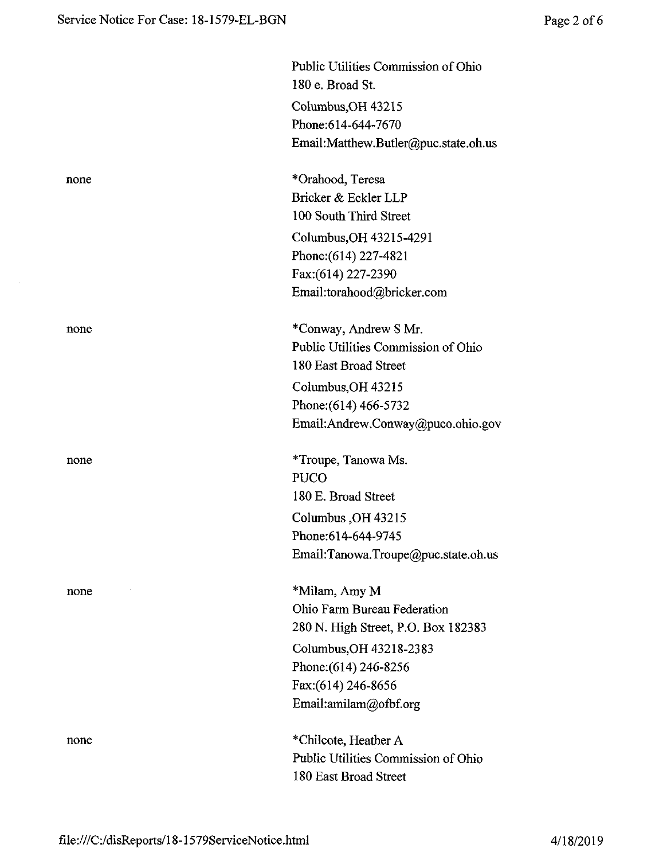$\sim$ 

|      | Public Utilities Commission of Ohio  |
|------|--------------------------------------|
|      | 180 e. Broad St.                     |
|      | Columbus, OH 43215                   |
|      | Phone: 614-644-7670                  |
|      | Email:Matthew.Butler@puc.state.oh.us |
| none | *Orahood, Teresa                     |
|      | Bricker & Eckler LLP                 |
|      | 100 South Third Street               |
|      | Columbus, OH 43215-4291              |
|      | Phone: $(614)$ 227-4821              |
|      | Fax:(614) 227-2390                   |
|      | Email:torahood@bricker.com           |
| none | *Conway, Andrew S Mr.                |
|      | Public Utilities Commission of Ohio  |
|      | 180 East Broad Street                |
|      | Columbus, OH 43215                   |
|      | Phone: (614) 466-5732                |
|      | Email:Andrew.Conway@puco.ohio.gov    |
| none | *Troupe, Tanowa Ms.                  |
|      | <b>PUCO</b>                          |
|      | 180 E. Broad Street                  |
|      | Columbus, OH 43215                   |
|      | Phone:614-644-9745                   |
|      | Email:Tanowa.Troupe@puc.state.oh.us  |
| none | *Milam, Amy M                        |
|      | Ohio Farm Bureau Federation          |
|      | 280 N. High Street, P.O. Box 182383  |
|      | Columbus, OH 43218-2383              |
|      | Phone: (614) 246-8256                |
|      | Fax:(614) 246-8656                   |
|      | Email:amilam@ofbf.org                |
| none | *Chilcote, Heather A                 |
|      | Public Utilities Commission of Ohio  |
|      | 180 East Broad Street                |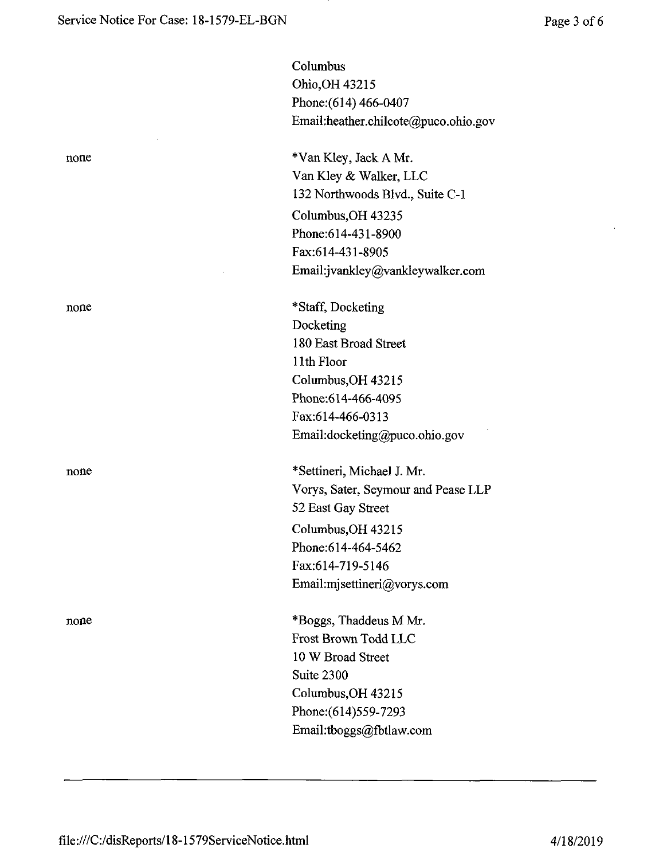none

none

Columbus Ohio,OH 43215 Phone:(614) 466-0407 Email:heather.chilcote@puco.ohio.gov

none \*Van Kley, Jack A Mr. Van Kley & Walker, LLC 132 Northwoods Blvd., Suite C-1 Columbus,OH 43235 Phone:614-431-8900 Fax:614-431-8905 Email:jvankley@vankleywalker.com

> \*Staff, Docketing Docketing 180 East Broad Street 11th Floor Columbus,OH 43215 Phone:614-466-4095 Fax:614-466-0313 Email:docketing@puco.ohio.gov

none \*Settineri, Michael J. Mr. Vorys, Sater, Seymour and Pease LLP 52 East Gay Street Columbus,OH 43215 Phone:614-464-5462 Fax:614-719-5146 Email:mjsettineri@vorys.com

> \*Boggs, Thaddeus M Mr. Frost Brown Todd LLC 10 W Broad Street Suite 2300 Columbus,OH 43215 Phone:(614)559-7293 Email:tboggs@fbtlaw.com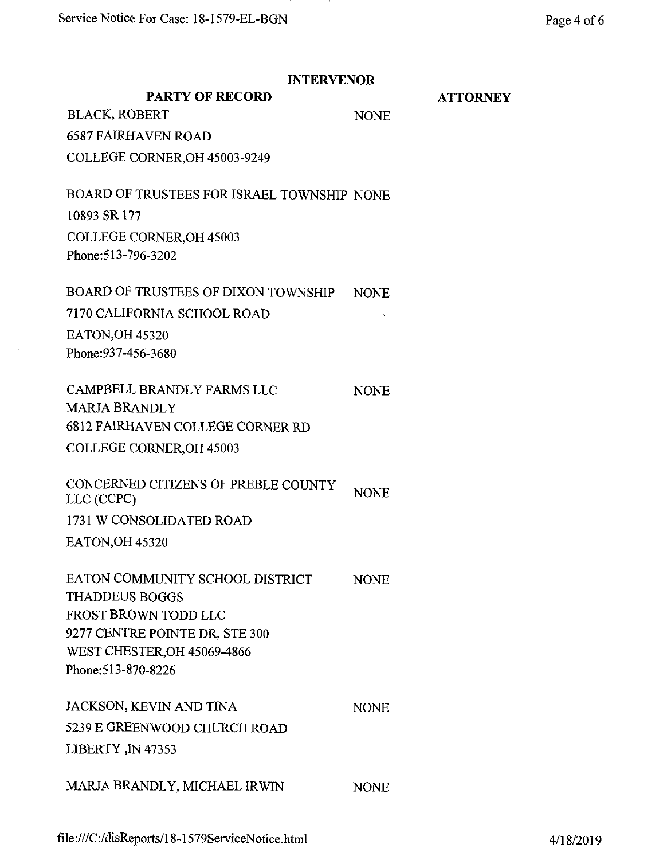$\sim$ 

 $\sim$ 

| <b>INTERVENOR</b>                                             |                 |  |
|---------------------------------------------------------------|-----------------|--|
| <b>PARTY OF RECORD</b>                                        | <b>ATTORNEY</b> |  |
| <b>BLACK, ROBERT</b>                                          | <b>NONE</b>     |  |
| <b>6587 FAIRHAVEN ROAD</b>                                    |                 |  |
| COLLEGE CORNER, OH 45003-9249                                 |                 |  |
| BOARD OF TRUSTEES FOR ISRAEL TOWNSHIP NONE                    |                 |  |
| 10893 SR 177                                                  |                 |  |
| <b>COLLEGE CORNER, OH 45003</b>                               |                 |  |
| Phone: 513-796-3202                                           |                 |  |
| BOARD OF TRUSTEES OF DIXON TOWNSHIP                           | <b>NONE</b>     |  |
| 7170 CALIFORNIA SCHOOL ROAD                                   |                 |  |
| <b>EATON, OH 45320</b>                                        |                 |  |
| Phone: 937-456-3680                                           |                 |  |
| CAMPBELL BRANDLY FARMS LLC                                    | <b>NONE</b>     |  |
| <b>MARJA BRANDLY</b>                                          |                 |  |
| <b>6812 FAIRHAVEN COLLEGE CORNER RD</b>                       |                 |  |
| COLLEGE CORNER, OH 45003                                      |                 |  |
| CONCERNED CITIZENS OF PREBLE COUNTY<br>LLC (CCPC)             | <b>NONE</b>     |  |
| 1731 W CONSOLIDATED ROAD                                      |                 |  |
| <b>EATON, OH 45320</b>                                        |                 |  |
| EATON COMMUNITY SCHOOL DISTRICT                               | <b>NONE</b>     |  |
| <b>THADDEUS BOGGS</b>                                         |                 |  |
| <b>FROST BROWN TODD LLC</b><br>9277 CENTRE POINTE DR, STE 300 |                 |  |
| <b>WEST CHESTER, OH 45069-4866</b>                            |                 |  |
| Phone: 513-870-8226                                           |                 |  |
|                                                               |                 |  |
| JACKSON, KEVIN AND TINA                                       | <b>NONE</b>     |  |
| 5239 E GREENWOOD CHURCH ROAD                                  |                 |  |
| LIBERTY, IN 47353                                             |                 |  |
| MARJA BRANDLY, MICHAEL IRWIN                                  | <b>NONE</b>     |  |
|                                                               |                 |  |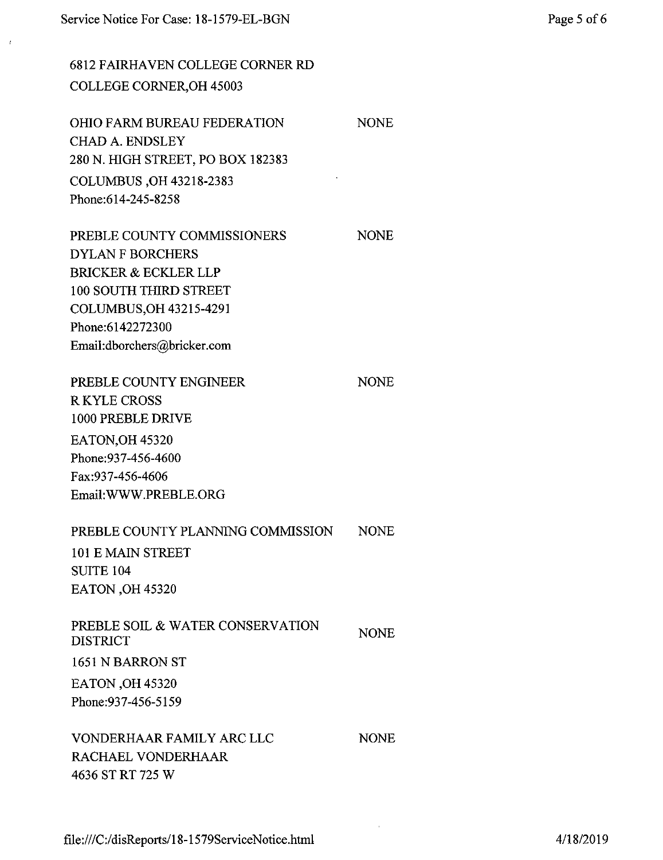6812 FAIRHAVEN COLLEGE CORNER RD COLLEGE CORNER,OH 45003

OHIO FARM BUREAU FEDERATION CHAD A. ENDSLEY 280 N. HIGH STREET, PO BOX 182383 COLUMBUS ,OH 43218-2383 Phone:614-245-8258

PREBLE COUNTY COMMISSIONERS DYLAN F BORCHERS BRICKER & ECKLER LLP 100 SOUTH THIRD STREET COLUMBUS,OH 43215-4291 Phone:6142272300 Email:dborchers@bricker.com

PREBLE COUNTY ENGINEER RKYLE CROSS 1000 PREBLE DRIVE EATON,OH 45320 Phone:937-456-4600 Fax:937-456-4606 Email:WWW.PREBLE.ORG

#### PREBLE COUNTY PLANNING COMMISSION NONE

101 E MAIN STREET SUITE 104 EATON ,OH 45320

| PREBLE SOIL & WATER CONSERVATION<br><b>DISTRICT</b> | <b>NONE</b> |
|-----------------------------------------------------|-------------|
| 1651 N BARRON ST                                    |             |
| <b>EATON</b> , OH 45320                             |             |
| Phone: 937-456-5159                                 |             |

VONDERHAAR FAMILY ARC LLC RACHAEL VONDERHAAR 4636 ST RT 725 W

NONE

**NONE** 

**NONE** 

NONE